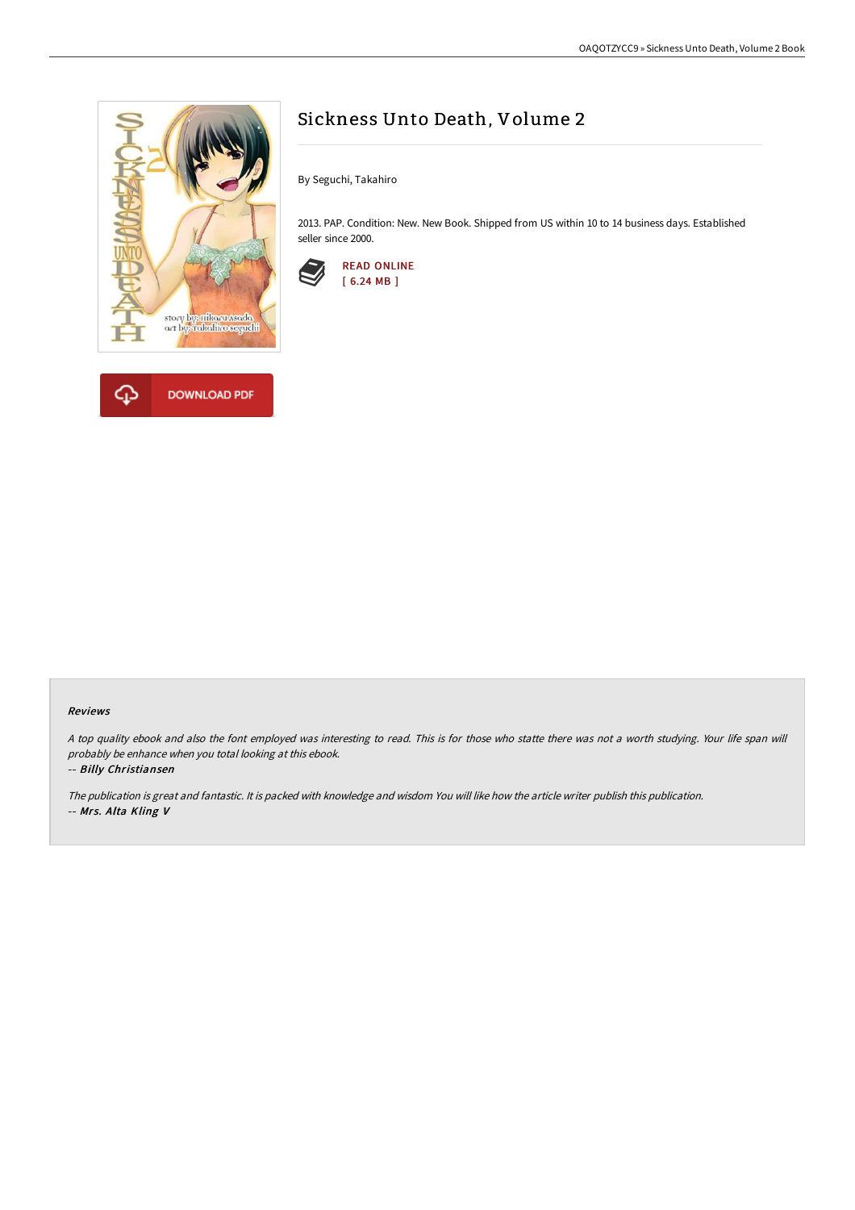

**DOWNLOAD PDF** 



By Seguchi, Takahiro

2013. PAP. Condition: New. New Book. Shipped from US within 10 to 14 business days. Established seller since 2000.



## Reviews

<sup>A</sup> top quality ebook and also the font employed was interesting to read. This is for those who statte there was not <sup>a</sup> worth studying. Your life span will probably be enhance when you total looking at this ebook.

## -- Billy Christiansen

♤

The publication is great and fantastic. It is packed with knowledge and wisdom You will like how the article writer publish this publication. -- Mrs. Alta Kling V